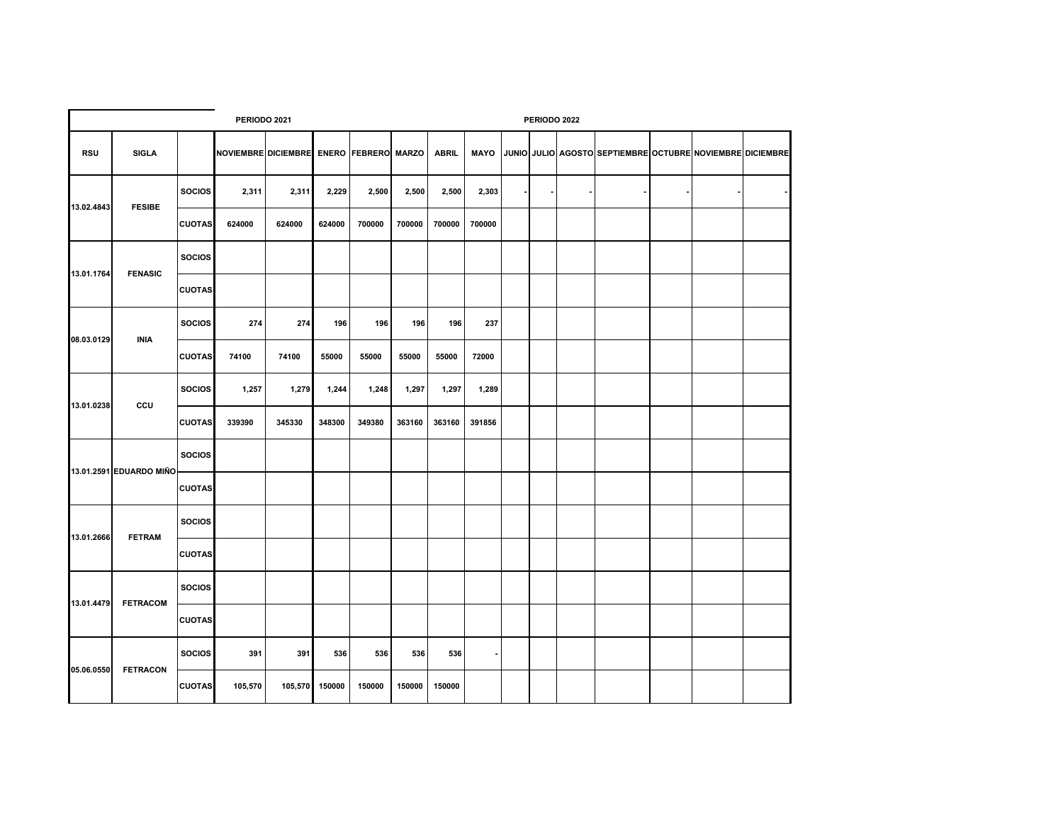|            |                         |               |                                         | PERIODO 2022 |                |        |        |              |                |                |  |  |                                                           |  |  |  |
|------------|-------------------------|---------------|-----------------------------------------|--------------|----------------|--------|--------|--------------|----------------|----------------|--|--|-----------------------------------------------------------|--|--|--|
| <b>RSU</b> | <b>SIGLA</b>            |               | NOVIEMBRE DICIEMBRE ENERO FEBRERO MARZO |              |                |        |        | <b>ABRIL</b> | <b>MAYO</b>    |                |  |  | JUNIO JULIO AGOSTO SEPTIEMBRE OCTUBRE NOVIEMBRE DICIEMBRE |  |  |  |
| 13.02.4843 | <b>FESIBE</b>           | <b>SOCIOS</b> | 2,311                                   | 2,311        | 2,229          | 2,500  | 2,500  | 2,500        | 2,303          | $\blacksquare$ |  |  |                                                           |  |  |  |
|            |                         | <b>CUOTAS</b> | 624000                                  | 624000       | 624000         | 700000 | 700000 | 700000       | 700000         |                |  |  |                                                           |  |  |  |
| 13.01.1764 | <b>FENASIC</b>          | <b>SOCIOS</b> |                                         |              |                |        |        |              |                |                |  |  |                                                           |  |  |  |
|            |                         | <b>CUOTAS</b> |                                         |              |                |        |        |              |                |                |  |  |                                                           |  |  |  |
| 08.03.0129 | <b>INIA</b>             | <b>SOCIOS</b> | 274                                     | 274          | 196            | 196    | 196    | 196          | 237            |                |  |  |                                                           |  |  |  |
|            |                         | <b>CUOTAS</b> | 74100                                   | 74100        | 55000          | 55000  | 55000  | 55000        | 72000          |                |  |  |                                                           |  |  |  |
| 13.01.0238 | ccu                     | <b>SOCIOS</b> | 1,257                                   | 1,279        | 1,244          | 1,248  | 1,297  | 1,297        | 1,289          |                |  |  |                                                           |  |  |  |
|            |                         | <b>CUOTAS</b> | 339390                                  | 345330       | 348300         | 349380 | 363160 | 363160       | 391856         |                |  |  |                                                           |  |  |  |
|            | 13.01.2591 EDUARDO MIÑO | <b>SOCIOS</b> |                                         |              |                |        |        |              |                |                |  |  |                                                           |  |  |  |
|            |                         | <b>CUOTAS</b> |                                         |              |                |        |        |              |                |                |  |  |                                                           |  |  |  |
| 13.01.2666 | <b>FETRAM</b>           | <b>SOCIOS</b> |                                         |              |                |        |        |              |                |                |  |  |                                                           |  |  |  |
|            |                         | <b>CUOTAS</b> |                                         |              |                |        |        |              |                |                |  |  |                                                           |  |  |  |
| 13.01.4479 | <b>FETRACOM</b>         | <b>SOCIOS</b> |                                         |              |                |        |        |              |                |                |  |  |                                                           |  |  |  |
|            |                         | <b>CUOTAS</b> |                                         |              |                |        |        |              |                |                |  |  |                                                           |  |  |  |
| 05.06.0550 | <b>FETRACON</b>         | <b>SOCIOS</b> | 391                                     | 391          | 536            | 536    | 536    | 536          | $\blacksquare$ |                |  |  |                                                           |  |  |  |
|            |                         | <b>CUOTAS</b> | 105,570                                 |              | 105,570 150000 | 150000 | 150000 | 150000       |                |                |  |  |                                                           |  |  |  |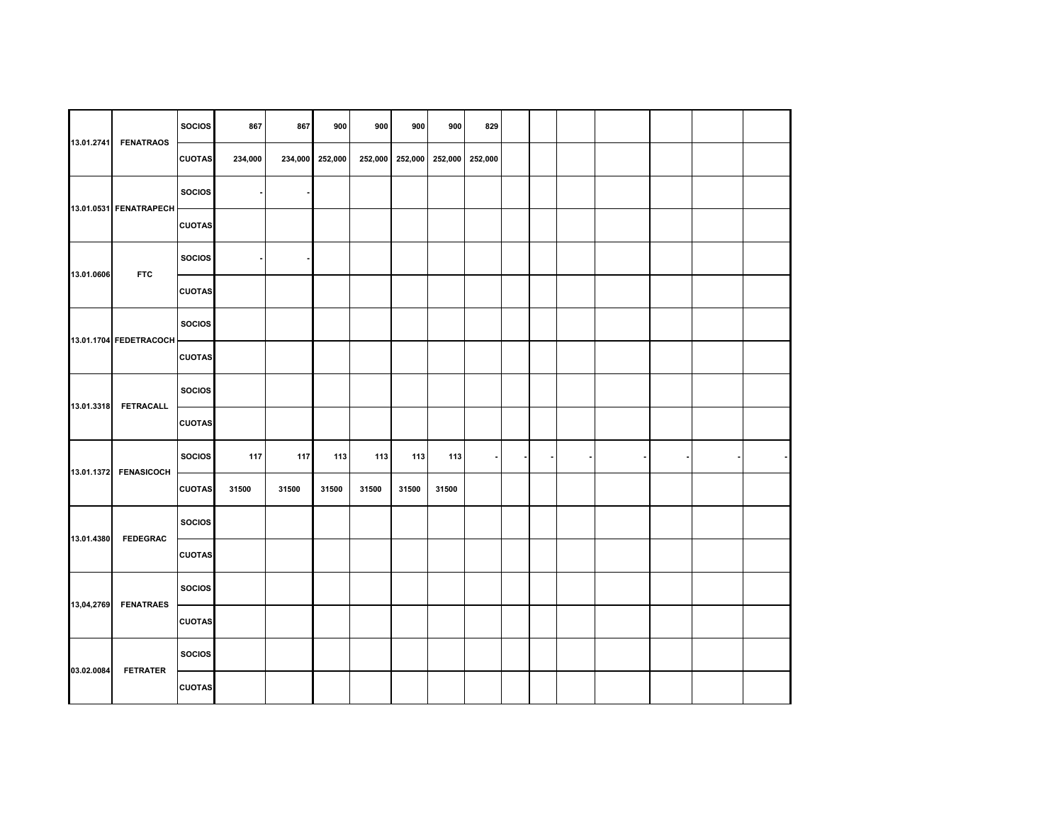| 13.01.2741 | <b>FENATRAOS</b>       | <b>SOCIOS</b> | 867     | 867   | 900             | 900     | 900     | 900   | 829             |  |  |  |  |
|------------|------------------------|---------------|---------|-------|-----------------|---------|---------|-------|-----------------|--|--|--|--|
|            |                        | <b>CUOTAS</b> | 234,000 |       | 234,000 252,000 | 252,000 | 252,000 |       | 252,000 252,000 |  |  |  |  |
|            | 13.01.0531 FENATRAPECH | <b>SOCIOS</b> |         |       |                 |         |         |       |                 |  |  |  |  |
|            |                        | <b>CUOTAS</b> |         |       |                 |         |         |       |                 |  |  |  |  |
| 13.01.0606 | <b>FTC</b>             | <b>SOCIOS</b> |         |       |                 |         |         |       |                 |  |  |  |  |
|            |                        | <b>CUOTAS</b> |         |       |                 |         |         |       |                 |  |  |  |  |
|            | 13.01.1704 FEDETRACOCH | <b>SOCIOS</b> |         |       |                 |         |         |       |                 |  |  |  |  |
|            |                        | <b>CUOTAS</b> |         |       |                 |         |         |       |                 |  |  |  |  |
| 13.01.3318 | <b>FETRACALL</b>       | <b>SOCIOS</b> |         |       |                 |         |         |       |                 |  |  |  |  |
|            |                        | <b>CUOTAS</b> |         |       |                 |         |         |       |                 |  |  |  |  |
|            | 13.01.1372 FENASICOCH  | <b>SOCIOS</b> | 117     | 117   | 113             | 113     | 113     | 113   | $\sim$          |  |  |  |  |
|            |                        | <b>CUOTAS</b> | 31500   | 31500 | 31500           | 31500   | 31500   | 31500 |                 |  |  |  |  |
| 13.01.4380 | <b>FEDEGRAC</b>        | <b>SOCIOS</b> |         |       |                 |         |         |       |                 |  |  |  |  |
|            |                        | <b>CUOTAS</b> |         |       |                 |         |         |       |                 |  |  |  |  |
| 13,04,2769 | <b>FENATRAES</b>       | <b>SOCIOS</b> |         |       |                 |         |         |       |                 |  |  |  |  |
|            |                        | <b>CUOTAS</b> |         |       |                 |         |         |       |                 |  |  |  |  |
| 03.02.0084 | <b>FETRATER</b>        | <b>SOCIOS</b> |         |       |                 |         |         |       |                 |  |  |  |  |
|            |                        | <b>CUOTAS</b> |         |       |                 |         |         |       |                 |  |  |  |  |